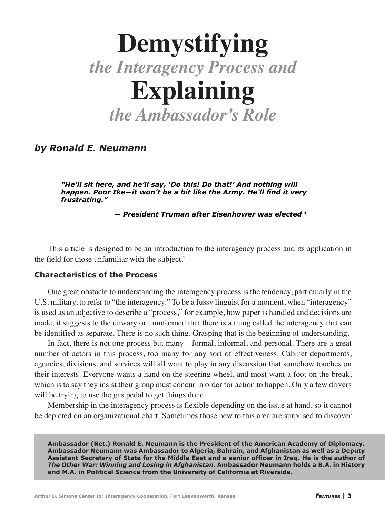# **Demystifying** *the Interagency Process and* **Explaining** *the Ambassador's Role*

*by Ronald E. Neumann* 

*"He'll sit here, and he'll say, 'Do this! Do that!' And nothing will happen. Poor Ike—it won't be a bit like the Army. He'll find it very frustrating."*

 *— President Truman after Eisenhower was elected 1*

This article is designed to be an introduction to the interagency process and its application in the field for those unfamiliar with the subject.<sup>2</sup>

## **Characteristics of the Process**

One great obstacle to understanding the interagency process is the tendency, particularly in the U.S. military, to refer to "the interagency." To be a fussy linguist for a moment, when "interagency" is used as an adjective to describe a "process," for example, how paper is handled and decisions are made, it suggests to the unwary or uninformed that there is a thing called the interagency that can be identified as separate. There is no such thing. Grasping that is the beginning of understanding.

In fact, there is not one process but many—formal, informal, and personal. There are a great number of actors in this process, too many for any sort of effectiveness. Cabinet departments, agencies, divisions, and services will all want to play in any discussion that somehow touches on their interests. Everyone wants a hand on the steering wheel, and most want a foot on the break, which is to say they insist their group must concur in order for action to happen. Only a few drivers will be trying to use the gas pedal to get things done.

Membership in the interagency process is flexible depending on the issue at hand, so it cannot be depicted on an organizational chart. Sometimes those new to this area are surprised to discover

**Ambassador (Ret.) Ronald E. Neumann is the President of the American Academy of Diplomacy. Ambassador Neumann was Ambassador to Algeria, Bahrain, and Afghanistan as well as a Deputy Assistant Secretary of State for the Middle East and a senior officer in Iraq. He is the author of**  *The Other War: Winning and Losing in Afghanistan***. Ambassador Neumann holds a B.A. in History and M.A. in Political Science from the University of California at Riverside.**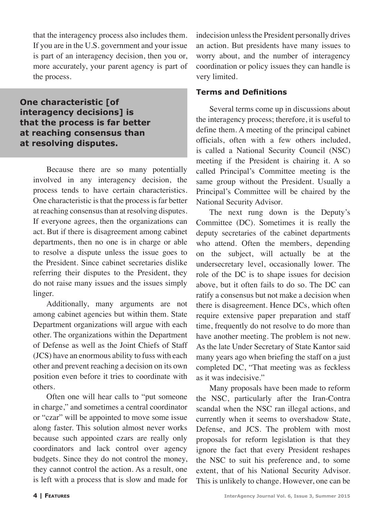that the interagency process also includes them. If you are in the U.S. government and your issue is part of an interagency decision, then you or, more accurately, your parent agency is part of the process.

**One characteristic [of interagency decisions] is that the process is far better at reaching consensus than at resolving disputes.** 

> Because there are so many potentially involved in any interagency decision, the process tends to have certain characteristics. One characteristic is that the process is far better at reaching consensus than at resolving disputes. If everyone agrees, then the organizations can act. But if there is disagreement among cabinet departments, then no one is in charge or able to resolve a dispute unless the issue goes to the President. Since cabinet secretaries dislike referring their disputes to the President, they do not raise many issues and the issues simply linger.

> Additionally, many arguments are not among cabinet agencies but within them. State Department organizations will argue with each other. The organizations within the Department of Defense as well as the Joint Chiefs of Staff (JCS) have an enormous ability to fuss with each other and prevent reaching a decision on its own position even before it tries to coordinate with others.

> Often one will hear calls to "put someone in charge," and sometimes a central coordinator or "czar" will be appointed to move some issue along faster. This solution almost never works because such appointed czars are really only coordinators and lack control over agency budgets. Since they do not control the money, they cannot control the action. As a result, one is left with a process that is slow and made for

indecision unless the President personally drives an action. But presidents have many issues to worry about, and the number of interagency coordination or policy issues they can handle is very limited.

## **Terms and Definitions**

Several terms come up in discussions about the interagency process; therefore, it is useful to define them. A meeting of the principal cabinet officials, often with a few others included, is called a National Security Council (NSC) meeting if the President is chairing it. A so called Principal's Committee meeting is the same group without the President. Usually a Principal's Committee will be chaired by the National Security Advisor.

The next rung down is the Deputy's Committee (DC). Sometimes it is really the deputy secretaries of the cabinet departments who attend. Often the members, depending on the subject, will actually be at the undersecretary level, occasionally lower. The role of the DC is to shape issues for decision above, but it often fails to do so. The DC can ratify a consensus but not make a decision when there is disagreement. Hence DCs, which often require extensive paper preparation and staff time, frequently do not resolve to do more than have another meeting. The problem is not new. As the late Under Secretary of State Kantor said many years ago when briefing the staff on a just completed DC, "That meeting was as feckless as it was indecisive."

Many proposals have been made to reform the NSC, particularly after the Iran-Contra scandal when the NSC ran illegal actions, and currently when it seems to overshadow State, Defense, and JCS. The problem with most proposals for reform legislation is that they ignore the fact that every President reshapes the NSC to suit his preference and, to some extent, that of his National Security Advisor. This is unlikely to change. However, one can be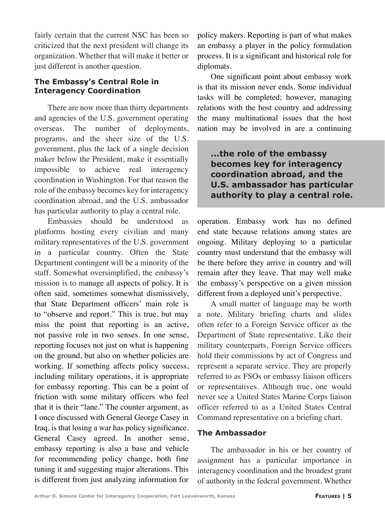fairly certain that the current NSC has been so criticized that the next president will change its organization. Whether that will make it better or just different is another question.

# **The Embassy's Central Role in Interagency Coordination**

There are now more than thirty departments and agencies of the U.S. government operating overseas. The number of deployments, programs, and the sheer size of the U.S. government, plus the lack of a single decision maker below the President, make it essentially impossible to achieve real interagency coordination in Washington. For that reason the role of the embassy becomes key for interagency coordination abroad, and the U.S. ambassador has particular authority to play a central role.

Embassies should be understood as platforms hosting every civilian and many military representatives of the U.S. government in a particular country. Often the State Department contingent will be a minority of the staff. Somewhat oversimplified, the embassy's mission is to manage all aspects of policy. It is often said, sometimes somewhat dismissively, that State Department officers' main role is to "observe and report." This is true, but may miss the point that reporting is an active, not passive role in two senses. In one sense, reporting focuses not just on what is happening on the ground, but also on whether policies are working. If something affects policy success, including military operations, it is appropriate for embassy reporting. This can be a point of friction with some military officers who feel that it is their "lane." The counter argument, as I once discussed with General George Casey in Iraq, is that losing a war has policy significance. General Casey agreed. In another sense, embassy reporting is also a base and vehicle for recommending policy change, both fine tuning it and suggesting major alterations. This is different from just analyzing information for policy makers. Reporting is part of what makes an embassy a player in the policy formulation process. It is a significant and historical role for diplomats.

One significant point about embassy work is that its mission never ends. Some individual tasks will be completed; however, managing relations with the host country and addressing the many multinational issues that the host nation may be involved in are a continuing

# **...the role of the embassy becomes key for interagency coordination abroad, and the U.S. ambassador has particular authority to play a central role.**

operation. Embassy work has no defined end state because relations among states are ongoing. Military deploying to a particular country must understand that the embassy will be there before they arrive in country and will remain after they leave. That may well make the embassy's perspective on a given mission different from a deployed unit's perspective.

A small matter of language may be worth a note. Military briefing charts and slides often refer to a Foreign Service officer as the Department of State representative. Like their military counterparts, Foreign Service officers hold their commissions by act of Congress and represent a separate service. They are properly referred to as FSOs or embassy liaison officers or representatives. Although true, one would never see a United States Marine Corps liaison officer referred to as a United States Central Command representative on a briefing chart.

# **The Ambassador**

The ambassador in his or her country of assignment has a particular importance in interagency coordination and the broadest grant of authority in the federal government. Whether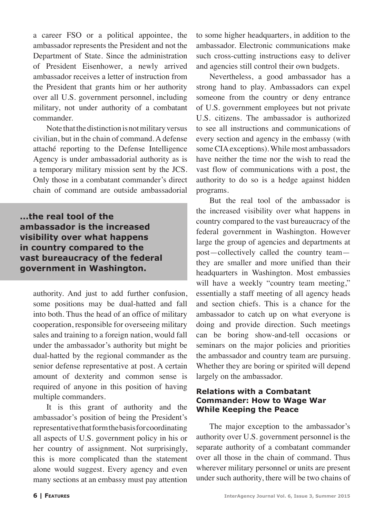a career FSO or a political appointee, the ambassador represents the President and not the Department of State. Since the administration of President Eisenhower, a newly arrived ambassador receives a letter of instruction from the President that grants him or her authority over all U.S. government personnel, including military, not under authority of a combatant commander.

Note that the distinction is not military versus civilian, but in the chain of command. A defense attaché reporting to the Defense Intelligence Agency is under ambassadorial authority as is a temporary military mission sent by the JCS. Only those in a combatant commander's direct chain of command are outside ambassadorial

**...the real tool of the ambassador is the increased visibility over what happens in country compared to the vast bureaucracy of the federal government in Washington.**

authority. And just to add further confusion, some positions may be dual-hatted and fall into both. Thus the head of an office of military cooperation, responsible for overseeing military sales and training to a foreign nation, would fall under the ambassador's authority but might be dual-hatted by the regional commander as the senior defense representative at post. A certain amount of dexterity and common sense is required of anyone in this position of having multiple commanders.

It is this grant of authority and the ambassador's position of being the President's representative that form the basis for coordinating all aspects of U.S. government policy in his or her country of assignment. Not surprisingly, this is more complicated than the statement alone would suggest. Every agency and even many sections at an embassy must pay attention

to some higher headquarters, in addition to the ambassador. Electronic communications make such cross-cutting instructions easy to deliver and agencies still control their own budgets.

Nevertheless, a good ambassador has a strong hand to play. Ambassadors can expel someone from the country or deny entrance of U.S. government employees but not private U.S. citizens. The ambassador is authorized to see all instructions and communications of every section and agency in the embassy (with some CIA exceptions). While most ambassadors have neither the time nor the wish to read the vast flow of communications with a post, the authority to do so is a hedge against hidden programs.

But the real tool of the ambassador is the increased visibility over what happens in country compared to the vast bureaucracy of the federal government in Washington. However large the group of agencies and departments at post—collectively called the country team they are smaller and more unified than their headquarters in Washington. Most embassies will have a weekly "country team meeting," essentially a staff meeting of all agency heads and section chiefs. This is a chance for the ambassador to catch up on what everyone is doing and provide direction. Such meetings can be boring show-and-tell occasions or seminars on the major policies and priorities the ambassador and country team are pursuing. Whether they are boring or spirited will depend largely on the ambassador.

#### **Relations with a Combatant Commander: How to Wage War While Keeping the Peace**

The major exception to the ambassador's authority over U.S. government personnel is the separate authority of a combatant commander over all those in the chain of command. Thus wherever military personnel or units are present under such authority, there will be two chains of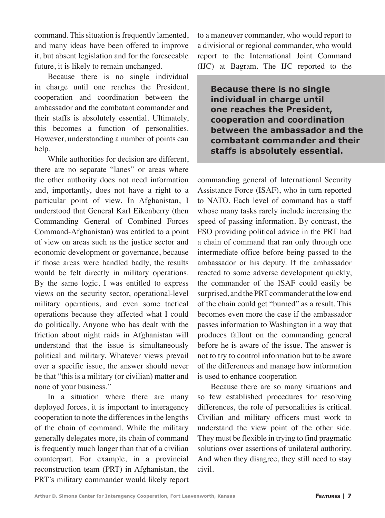command. This situation is frequently lamented, and many ideas have been offered to improve it, but absent legislation and for the foreseeable future, it is likely to remain unchanged.

Because there is no single individual in charge until one reaches the President, cooperation and coordination between the ambassador and the combatant commander and their staffs is absolutely essential. Ultimately, this becomes a function of personalities. However, understanding a number of points can help.

While authorities for decision are different, there are no separate "lanes" or areas where the other authority does not need information and, importantly, does not have a right to a particular point of view. In Afghanistan, I understood that General Karl Eikenberry (then Commanding General of Combined Forces Command-Afghanistan) was entitled to a point of view on areas such as the justice sector and economic development or governance, because if those areas were handled badly, the results would be felt directly in military operations. By the same logic, I was entitled to express views on the security sector, operational-level military operations, and even some tactical operations because they affected what I could do politically. Anyone who has dealt with the friction about night raids in Afghanistan will understand that the issue is simultaneously political and military. Whatever views prevail over a specific issue, the answer should never be that "this is a military (or civilian) matter and none of your business."

In a situation where there are many deployed forces, it is important to interagency cooperation to note the differences in the lengths of the chain of command. While the military generally delegates more, its chain of command is frequently much longer than that of a civilian counterpart. For example, in a provincial reconstruction team (PRT) in Afghanistan, the PRT's military commander would likely report to a maneuver commander, who would report to a divisional or regional commander, who would report to the International Joint Command (IJC) at Bagram. The IJC reported to the

**Because there is no single individual in charge until one reaches the President, cooperation and coordination between the ambassador and the combatant commander and their staffs is absolutely essential.**

commanding general of International Security Assistance Force (ISAF), who in turn reported to NATO. Each level of command has a staff whose many tasks rarely include increasing the speed of passing information. By contrast, the FSO providing political advice in the PRT had a chain of command that ran only through one intermediate office before being passed to the ambassador or his deputy. If the ambassador reacted to some adverse development quickly, the commander of the ISAF could easily be surprised, and the PRT commander at the low end of the chain could get "burned" as a result. This becomes even more the case if the ambassador passes information to Washington in a way that produces fallout on the commanding general before he is aware of the issue. The answer is not to try to control information but to be aware of the differences and manage how information is used to enhance cooperation

Because there are so many situations and so few established procedures for resolving differences, the role of personalities is critical. Civilian and military officers must work to understand the view point of the other side. They must be flexible in trying to find pragmatic solutions over assertions of unilateral authority. And when they disagree, they still need to stay civil.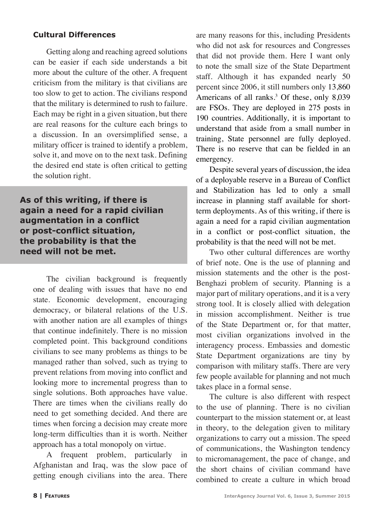## **Cultural Differences**

Getting along and reaching agreed solutions can be easier if each side understands a bit more about the culture of the other. A frequent criticism from the military is that civilians are too slow to get to action. The civilians respond that the military is determined to rush to failure. Each may be right in a given situation, but there are real reasons for the culture each brings to a discussion. In an oversimplified sense, a military officer is trained to identify a problem, solve it, and move on to the next task. Defining the desired end state is often critical to getting the solution right.

**As of this writing, if there is again a need for a rapid civilian augmentation in a conflict or post-conflict situation, the probability is that the need will not be met.**

The civilian background is frequently one of dealing with issues that have no end state. Economic development, encouraging democracy, or bilateral relations of the U.S. with another nation are all examples of things that continue indefinitely. There is no mission completed point. This background conditions civilians to see many problems as things to be managed rather than solved, such as trying to prevent relations from moving into conflict and looking more to incremental progress than to single solutions. Both approaches have value. There are times when the civilians really do need to get something decided. And there are times when forcing a decision may create more long-term difficulties than it is worth. Neither approach has a total monopoly on virtue.

A frequent problem, particularly in Afghanistan and Iraq, was the slow pace of getting enough civilians into the area. There

are many reasons for this, including Presidents who did not ask for resources and Congresses that did not provide them. Here I want only to note the small size of the State Department staff. Although it has expanded nearly 50 percent since 2006, it still numbers only 13,860 Americans of all ranks.<sup>3</sup> Of these, only 8,039 are FSOs. They are deployed in 275 posts in 190 countries. Additionally, it is important to understand that aside from a small number in training, State personnel are fully deployed. There is no reserve that can be fielded in an emergency.

Despite several years of discussion, the idea of a deployable reserve in a Bureau of Conflict and Stabilization has led to only a small increase in planning staff available for shortterm deployments. As of this writing, if there is again a need for a rapid civilian augmentation in a conflict or post-conflict situation, the probability is that the need will not be met.

Two other cultural differences are worthy of brief note. One is the use of planning and mission statements and the other is the post-Benghazi problem of security. Planning is a major part of military operations, and it is a very strong tool. It is closely allied with delegation in mission accomplishment. Neither is true of the State Department or, for that matter, most civilian organizations involved in the interagency process. Embassies and domestic State Department organizations are tiny by comparison with military staffs. There are very few people available for planning and not much takes place in a formal sense.

The culture is also different with respect to the use of planning. There is no civilian counterpart to the mission statement or, at least in theory, to the delegation given to military organizations to carry out a mission. The speed of communications, the Washington tendency to micromanagement, the pace of change, and the short chains of civilian command have combined to create a culture in which broad